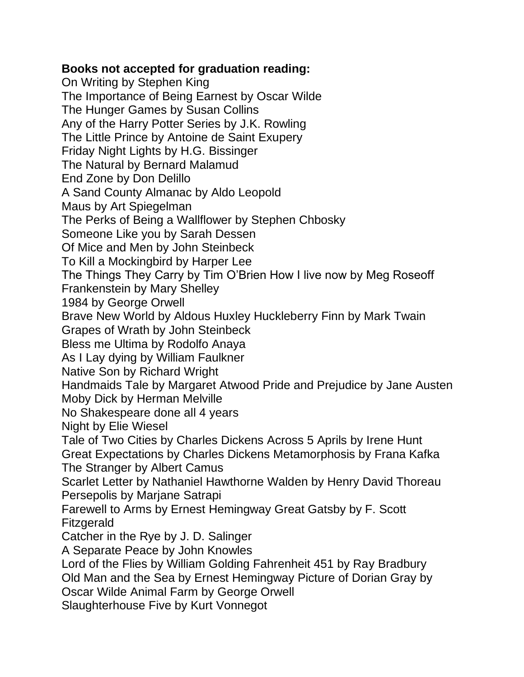## **Books not accepted for graduation reading:**

On Writing by Stephen King The Importance of Being Earnest by Oscar Wilde The Hunger Games by Susan Collins Any of the Harry Potter Series by J.K. Rowling The Little Prince by Antoine de Saint Exupery Friday Night Lights by H.G. Bissinger The Natural by Bernard Malamud End Zone by Don Delillo A Sand County Almanac by Aldo Leopold Maus by Art Spiegelman The Perks of Being a Wallflower by Stephen Chbosky Someone Like you by Sarah Dessen Of Mice and Men by John Steinbeck To Kill a Mockingbird by Harper Lee The Things They Carry by Tim O'Brien How I live now by Meg Roseoff Frankenstein by Mary Shelley 1984 by George Orwell Brave New World by Aldous Huxley Huckleberry Finn by Mark Twain Grapes of Wrath by John Steinbeck Bless me Ultima by Rodolfo Anaya As I Lay dying by William Faulkner Native Son by Richard Wright Handmaids Tale by Margaret Atwood Pride and Prejudice by Jane Austen Moby Dick by Herman Melville No Shakespeare done all 4 years Night by Elie Wiesel Tale of Two Cities by Charles Dickens Across 5 Aprils by Irene Hunt Great Expectations by Charles Dickens Metamorphosis by Frana Kafka The Stranger by Albert Camus Scarlet Letter by Nathaniel Hawthorne Walden by Henry David Thoreau Persepolis by Marjane Satrapi Farewell to Arms by Ernest Hemingway Great Gatsby by F. Scott Fitzgerald Catcher in the Rye by J. D. Salinger A Separate Peace by John Knowles Lord of the Flies by William Golding Fahrenheit 451 by Ray Bradbury Old Man and the Sea by Ernest Hemingway Picture of Dorian Gray by Oscar Wilde Animal Farm by George Orwell Slaughterhouse Five by Kurt Vonnegot